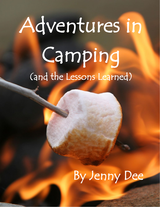## Adventures in Camping<br>(and the Lessons Learned)

## By Jenny Dee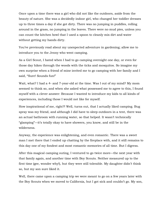Once upon a time there was a girl who did not like the outdoors, aside from the beauty of nature. She was a decidedly indoor girl, who changed her toddler dresses up to three times a day if she got dirty. There was no jumping in puddles, rolling around in the grass, no jumping in the leaves. There were no mud pies, unless you can count the kitchen bowl that I used a spoon to cleanly mix dirt and water without getting my hands dirty.

You've previously read about my unexpected adventure in gardening; allow me to introduce you to the Jenny who went camping.

As a Girl Scout, I hated when I had to go camping overnight one day, or even for those day hikes through the woods with the ticks and mosquitos. So imagine my own surprise when a friend of mine invited me to go camping with her family and I said, "Sure! Sounds fun!"

Wait, what? I had a 4- and 7-year-old at the time. Was I out of my mind? My mom seemed to think so, and when she asked what possessed me to agree to this, I found myself with a clever answer: Because I wanted to introduce my kids to all kinds of experiences, including those I would not like for myself.

How inspirational of me, right?! Well, turns out, that I actually liked camping. Bug spray was my friend, and although I did have to sleep outdoors in a tent, there was an actual bathroom with running water, so that helped. It wasn't technically "glamping"—it's totally okay to have showers, you know, and still be in the wilderness.

Anyway, the experience was enlightening, and even romantic. There was a sweet man I met there that I ended up chatting by the fireplace with, and it still remains to this day one of my fondest and most romantic memories of all time. But I digress.

After this magical camping outing, I ventured to go twice more—the next year with that family again, and another time with Boy Scouts. Neither measured up to the first time (gee, wonder why!), but they were still tolerable. My daughter didn't think so, but my son sure liked it.

Well, there came upon a camping trip we were meant to go on a few years later with the Boy Scouts when we moved to California, but I got sick and couldn't go. My son,